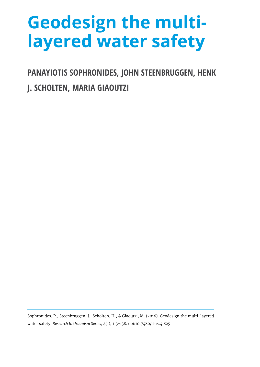## **Geodesign the multilayered water safety**

**PANAYIOTIS SOPHRONIDES, JOHN STEENBRUGGEN, HENK** 

**J. SCHOLTEN, MARIA GIAOUTZI**

Sophronides, P., Steenbruggen, J., Scholten, H., & Giaoutzi, M. (2016). Geodesign the multi-layered water safety. *Research In Urbanism Series*, 4(1), 113-138. doi:10.7480/rius.4.825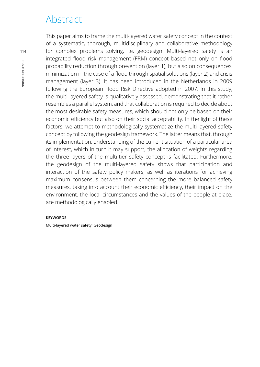### Abstract

This paper aims to frame the multi-layered water safety concept in the context of a systematic, thorough, multidisciplinary and collaborative methodology for complex problems solving, i.e. geodesign. Multi-layered safety is an integrated flood risk management (FRM) concept based not only on flood probability reduction through prevention (layer 1), but also on consequences' minimization in the case of a flood through spatial solutions (layer 2) and crisis management (layer 3). It has been introduced in the Netherlands in 2009 following the European Flood Risk Directive adopted in 2007. In this study, the multi-layered safety is qualitatively assessed, demonstrating that it rather resembles a parallel system, and that collaboration is required to decide about the most desirable safety measures, which should not only be based on their economic efficiency but also on their social acceptability. In the light of these factors, we attempt to methodologically systematize the multi-layered safety concept by following the geodesign framework. The latter means that, through its implementation, understanding of the current situation of a particular area of interest, which in turn it may support, the allocation of weights regarding the three layers of the multi-tier safety concept is facilitated. Furthermore, the geodesign of the multi-layered safety shows that participation and interaction of the safety policy makers, as well as iterations for achieving maximum consensus between them concerning the more balanced safety measures, taking into account their economic efficiency, their impact on the environment, the local circumstances and the values of the people at place, are methodologically enabled.

#### **KEYWORDS**

Multi-layered water safety; Geodesign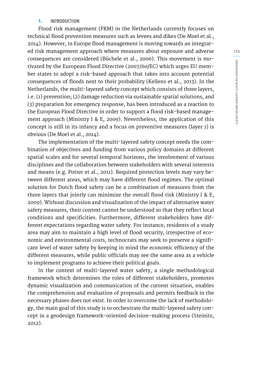#### **1. INTRODUCTION**

Flood risk management (FRM) in the Netherlands currently focuses on technical flood prevention measures such as levees and dikes (De Moel et al., 2014). However, in Europe flood management is moving towards an integrated risk management approach where measures about exposure and adverse consequences are considered (Büchele et al., 2006). This movement is motivated by the European Flood Directive (2007/60/EC) which urges EU member states to adopt a risk-based approach that takes into account potential consequences of floods next to their probability (Kellens et al., 2013). In the Netherlands, the multi-layered safety concept which consists of three layers, i.e. (1) prevention; (2) damage reduction via sustainable spatial solutions, and (3) preparation for emergency response, has been introduced as a reaction to the European Flood Directive in order to support a flood risk-based management approach (Ministry I & E, 2009). Nevertheless, the application of this concept is still in its infancy and a focus on preventive measures (layer 1) is obvious (De Moel et al., 2014).

The implementation of the multi-layered safety concept needs the combination of objectives and funding from various policy domains at different spatial scales and for several temporal horizons, the involvement of various disciplines and the collaboration between stakeholders with several interests and means (e.g. Potter et al., 2011). Required protection levels may vary between different areas, which may have different flood regimes. The optimal solution for Dutch flood safety can be a combination of measures from the three layers that jointly can minimize the overall flood risk (Ministry I & E, 2009). Without discussion and visualization of the impact of alternative water safety measures, their context cannot be understood so that they reflect local conditions and specificities. Furthermore, different stakeholders have different expectations regarding water safety. For instance, residents of a study area may aim to maintain a high level of flood security, irrespective of economic and environmental costs, technocrats may seek to preserve a significant level of water safety by keeping in mind the economic efficiency of the different measures, while public officials may see the same area as a vehicle to implement programs to achieve their political goals.

In the context of multi-layered water safety, a single methodological framework which determines the roles of different stakeholders, promotes dynamic visualization and communication of the current situation, enables the comprehension and evaluation of proposals and permits feedback in the necessary phases does not exist. In order to overcome the lack of methodology, the main goal of this study is to orchestrate the multi-layered safety concept in a geodesign framework-oriented decision-making process (Steinitz, 2012).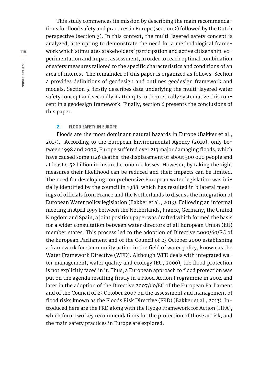This study commences its mission by describing the main recommendations for flood safety and practices in Europe (section 2) followed by the Dutch perspective (section 3). In this context, the multi-layered safety concept is analyzed, attempting to demonstrate the need for a methodological framework which stimulates stakeholders' participation and active citizenship, experimentation and impact assessment, in order to reach optimal combination of safety measures tailored to the specific characteristics and conditions of an area of interest. The remainder of this paper is organized as follows: Section 4 provides definitions of geodesign and outlines geodesign framework and models. Section 5, firstly describes data underlying the multi-layered water safety concept and secondly it attempts to theoretically systematize this concept in a geodesign framework. Finally, section 6 presents the conclusions of this paper.

#### **2. FLOOD SAFETY IN EUROPE**

Floods are the most dominant natural hazards in Europe (Bakker et al., 2013). According to the European Environmental Agency (2010), only between 1998 and 2009, Europe suffered over 213 major damaging floods, which have caused some 1126 deaths, the displacement of about 500 000 people and at least  $\epsilon$  52 billion in insured economic losses. However, by taking the right measures their likelihood can be reduced and their impacts can be limited. The need for developing comprehensive European water legislation was initially identified by the council in 1988, which has resulted in bilateral meetings of officials from France and the Netherlands to discuss the integration of European Water policy legislation (Bakker et al., 2013). Following an informal meeting in April 1995 between the Netherlands, France, Germany, the United Kingdom and Spain, a joint position paper was drafted which formed the basis for a wider consultation between water directors of all European Union (EU) member states. This process led to the adoption of Directive 2000/60/EC of the European Parliament and of the Council of 23 October 2000 establishing a framework for Community action in the field of water policy, known as the Water Framework Directive (WFD). Although WFD deals with integrated water management, water quality and ecology (EU, 2000), the flood protection is not explicitly faced in it. Thus, a European approach to flood protection was put on the agenda resulting firstly in a Flood Action Programme in 2004 and later in the adoption of the Directive 2007/60/EC of the European Parliament and of the Council of 23 October 2007 on the assessment and management of flood risks known as the Floods Risk Directive (FRD) (Bakker et al., 2013). Introduced here are the FRD along with the Hyogo Framework for Action (HFA), which form two key recommendations for the protection of those at risk, and the main safety practices in Europe are explored.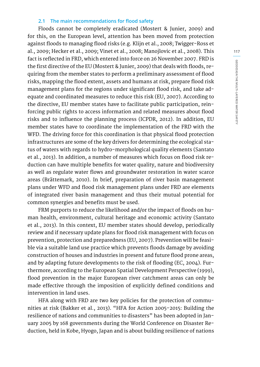#### **2.1 The main recommendations for flood safety**

Floods cannot be completely eradicated (Mostert & Junier, 2009) and for this, on the European level, attention has been moved from protection against floods to managing flood risks (e.g. Klijn et al., 2008; Twigger-Ross et al., 2009; Hecker et al., 2009; Vinet et al., 2008; Manojlovic et al., 2008). This fact is reflected in FRD, which entered into force on 26 November 2007. FRD is the first directive of the EU (Mostert & Junier, 2009) that deals with floods, requiring from the member states to perform a preliminary assessment of flood risks, mapping the flood extent, assets and humans at risk, prepare flood risk management plans for the regions under significant flood risk, and take adequate and coordinated measures to reduce this risk (EU, 2007). According to the directive, EU member states have to facilitate public participation, reinforcing public rights to access information and related measures about flood risks and to influence the planning process (ICPDR, 2012). In addition, EU member states have to coordinate the implementation of the FRD with the WFD. The driving force for this coordination is that physical flood protection infrastructures are some of the key drivers for determining the ecological status of waters with regards to hydro-morphological quality elements (Santato et al., 2013). In addition, a number of measures which focus on flood risk reduction can have multiple benefits for water quality, nature and biodiversity as well as regulate water flows and groundwater restoration in water scarce areas (Brättemark, 2010). In brief, preparation of river basin management plans under WFD and flood risk management plans under FRD are elements of integrated river basin management and thus their mutual potential for common synergies and benefits must be used.

FRM purports to reduce the likelihood and/or the impact of floods on human health, environment, cultural heritage and economic activity (Santato et al., 2013). In this context, EU member states should develop, periodically review and if necessary update plans for flood risk management with focus on prevention, protection and preparedness (EU, 2007). Prevention will be feasible via a suitable land use practice which prevents floods damage by avoiding construction of houses and industries in present and future flood prone areas, and by adapting future developments to the risk of flooding (EC, 2004). Furthermore, according to the European Spatial Development Perspective (1999), flood prevention in the major European river catchment areas can only be made effective through the imposition of explicitly defined conditions and intervention in land uses.

HFA along with FRD are two key policies for the protection of communities at risk (Bakker et al., 2013). "HFA for Action 2005-2015: Building the resilience of nations and communities to disasters" has been adopted in January 2005 by 168 governments during the World Conference on Disaster Reduction, held in Kobe, Hyogo, Japan and is about building resilience of nations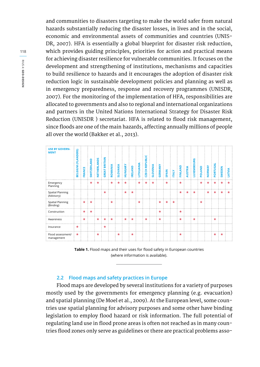and communities to disasters targeting to make the world safer from natural hazards substantially reducing the disaster losses, in lives and in the social, economic and environmental assets of communities and countries (UNIS-DR, 2007). HFA is essentially a global blueprint for disaster risk reduction, which provides guiding principles, priorities for action and practical means for achieving disaster resilience for vulnerable communities. It focuses on the development and strengthening of institutions, mechanisms and capacities to build resilience to hazards and it encourages the adoption of disaster risk reduction logic in sustainable development policies and planning as well as in emergency preparedness, response and recovery programmes (UNISDR, 2007). For the monitoring of the implementation of HFA, responsibilities are allocated to governments and also to regional and international organizations and partners in the United Nations International Strategy for Disaster Risk Reduction (UNISDR ) secretariat. HFA is related to flood risk management, since floods are one of the main hazards, affecting annually millions of people all over the world (Bakker et al., 2013).



**Table 1.** Flood maps and their uses for flood safety in European countries (where information is available).

#### **2.2 Flood maps and safety practices in Europe**

Flood maps are developed by several institutions for a variety of purposes mostly used by the governments for emergency planning (e.g. evacuation) and spatial planning (De Moel et al., 2009). At the European level, some countries use spatial planning for advisory purposes and some other have binding legislation to employ flood hazard or risk information. The full potential of regulating land use in flood prone areas is often not reached as in many countries flood zones only serve as guidelines or there are practical problems asso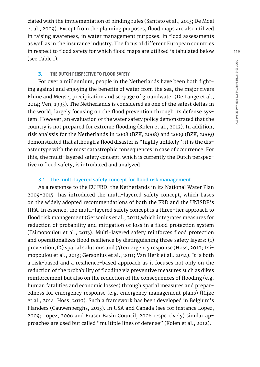ciated with the implementation of binding rules (Santato et al., 2013; De Moel et al., 2009). Except from the planning purposes, flood maps are also utilized in raising awareness, in water management purposes, in flood assessments as well as in the insurance industry. The focus of different European countries in respect to flood safety for which flood maps are utilized is tabulated below (see Table 1).

#### **3. THE DUTCH PERSPECTIVE TO FLOOD SAFETY**

For over a millennium, people in the Netherlands have been both fighting against and enjoying the benefits of water from the sea, the major rivers Rhine and Meuse, precipitation and seepage of groundwater (De Lange et al., 2014; Ven, 1993). The Netherlands is considered as one of the safest deltas in the world, largely focusing on the flood prevention through its defense system. However, an evaluation of the water safety policy demonstrated that the country is not prepared for extreme flooding (Kolen et al., 2012). In addition, risk analysis for the Netherlands in 2008 (BZK, 2008) and 2009 (BZK, 2009) demonstrated that although a flood disaster is "highly unlikely"; it is the disaster type with the most catastrophic consequences in case of occurrence. For this, the multi-layered safety concept, which is currently the Dutch perspective to flood safety, is introduced and analyzed.

#### **3.1 The multi-layered safety concept for flood risk management**

As a response to the EU FRD, the Netherlands in its National Water Plan 2009-2015 has introduced the multi-layered safety concept, which bases on the widely adopted recommendations of both the FRD and the UNISDR's HFA. In essence, the multi-layered safety concept is a three-tier approach to flood risk management (Gersonius et al., 2011),which integrates measures for reduction of probability and mitigation of loss in a flood protection system (Tsimopoulou et al., 2013). Multi-layered safety reinforces flood protection and operationalizes flood resilience by distinguishing three safety layers: (1) prevention; (2) spatial solutions and (3) emergency response (Hoss, 2010; Tsimopoulou et al., 2013; Gersonius et al., 2011; Van Herk et al., 2014). It is both a risk-based and a resilience-based approach as it focuses not only on the reduction of the probability of flooding via preventive measures such as dikes reinforcement but also on the reduction of the consequences of flooding (e.g. human fatalities and economic losses) through spatial measures and preparedness for emergency response (e.g. emergency management plans) (Rijke et al., 2014; Hoss, 2010). Such a framework has been developed in Belgium's Flanders (Cauwenberghs, 2013). In USA and Canada (see for instance Lopez, 2009; Lopez, 2006 and Fraser Basin Council, 2008 respectively) similar approaches are used but called "multiple lines of defense" (Kolen et al., 2012).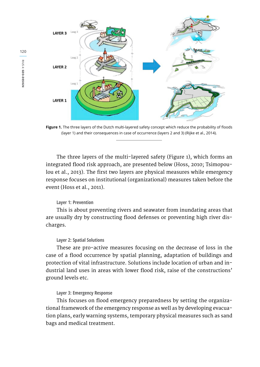

**Figure 1.** The three layers of the Dutch multi-layered safety concept which reduce the probability of floods (layer 1) and their consequences in case of occurrence (layers 2 and 3) (Rijke et al., 2014).

The three layers of the multi-layered safety (Figure 1), which forms an integrated flood risk approach, are presented below (Hoss, 2010; Tsimopoulou et al., 2013). The first two layers are physical measures while emergency response focuses on institutional (organizational) measures taken before the event (Hoss et al., 2011).

#### **Layer 1: Prevention**

This is about preventing rivers and seawater from inundating areas that are usually dry by constructing flood defenses or preventing high river discharges.

#### **Layer 2: Spatial Solutions**

These are pro-active measures focusing on the decrease of loss in the case of a flood occurrence by spatial planning, adaptation of buildings and protection of vital infrastructure. Solutions include location of urban and industrial land uses in areas with lower flood risk, raise of the constructions' ground levels etc.

#### **Layer 3: Emergency Response**

This focuses on flood emergency preparedness by setting the organizational framework of the emergency response as well as by developing evacuation plans, early warning systems, temporary physical measures such as sand bags and medical treatment.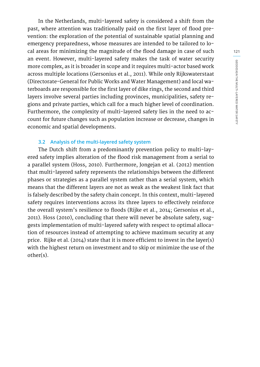In the Netherlands, multi-layered safety is considered a shift from the past, where attention was traditionally paid on the first layer of flood prevention: the exploration of the potential of sustainable spatial planning and emergency preparedness, whose measures are intended to be tailored to local areas for minimizing the magnitude of the flood damage in case of such an event. However, multi-layered safety makes the task of water security more complex, as it is broader in scope and it requires multi-actor based work across multiple locations (Gersonius et al., 2011). While only Rijkswaterstaat (Directorate-General for Public Works and Water Management) and local waterboards are responsible for the first layer of dike rings, the second and third layers involve several parties including provinces, municipalities, safety regions and private parties, which call for a much higher level of coordination. Furthermore, the complexity of multi-layered safety lies in the need to account for future changes such as population increase or decrease, changes in economic and spatial developments.

#### **3.2 Analysis of the multi-layered safety system**

The Dutch shift from a predominantly prevention policy to multi-layered safety implies alteration of the flood risk management from a serial to a parallel system (Hoss, 2010). Furthermore, Jongejan et al. (2012) mention that multi-layered safety represents the relationships between the different phases or strategies as a parallel system rather than a serial system, which means that the different layers are not as weak as the weakest link fact that is falsely described by the safety chain concept. In this context, multi-layered safety requires interventions across its three layers to effectively reinforce the overall system's resilience to floods (Rijke et al., 2014; Gersonius et al., 2011). Hoss (2010), concluding that there will never be absolute safety, suggests implementation of multi-layered safety with respect to optimal allocation of resources instead of attempting to achieve maximum security at any price. Rijke et al. (2014) state that it is more efficient to invest in the layer(s) with the highest return on investment and to skip or minimize the use of the other(s).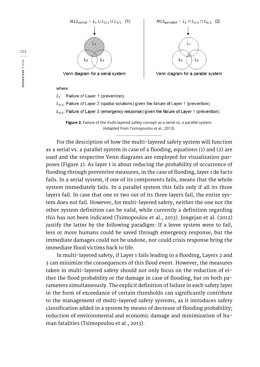$MLS_{serial} = L_1 \cup L_{2/1} \cup L_{3/1}$  (1)



Venn diagram for a serial system



Venn diagram for a parallel system

where:

 $L_1$ : Failure of Layer 1 (prevention);

 $L_{2/1}$ : Failure of Layer 2 (spatial solutions) given the failure of Layer 1 (prevention);

 $L_{3/1}$ : Failure of Layer 3 (emergency response) given the failure of Layer 1 (prevention).

**Figure 2.** Failure of the multi-layered safety concept as a serial vs. a parallel system. (Adapted from Tsimopoulou et al., 2013).

For the description of how the multi-layered safety system will function as a serial vs. a parallel system in case of a flooding, equations (1) and (2) are used and the respective Venn diagrams are employed for visualization purposes (Figure 2). As layer 1 is about reducing the probability of occurrence of flooding through preventive measures, in the case of flooding, layer 1 de facto fails. In a serial system, if one of its components fails, means that the whole system immediately fails. In a parallel system this fails only if all its three layers fail. In case that one or two out of its three layers fail, the entire system does not fail. However, for multi-layered safety, neither the one nor the other system definition can be valid, while currently a definition regarding this has not been indicated (Tsimopoulou et al., 2013). Jongejan et al. (2012) justify the latter by the following paradigm: If a levee system were to fail, less or more humans could be saved through emergency response, but the immediate damages could not be undone, nor could crisis response bring the immediate flood victims back to life.

In multi-layered safety, if Layer 1 fails leading to a flooding, Layers 2 and 3 can minimize the consequences of this flood event. However, the measures taken in multi-layered safety should not only focus on the reduction of either the flood probability or the damage in case of flooding, but on both parameters simultaneously. The explicit definition of failure in each safety layer in the form of exceedance of certain thresholds can significantly contribute to the management of multi-layered safety systems, as it introduces safety classification added in a system by means of decrease of flooding probability; reduction of environmental and economic damage and minimization of human fatalities (Tsimopoulou et al., 2013).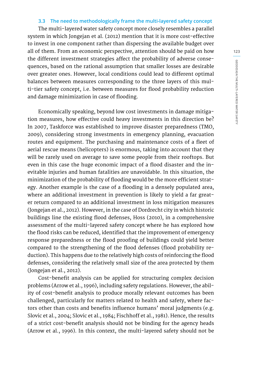#### **3.3 The need to methodologically frame the multi-layered safety concept**

The multi-layered water safety concept more closely resembles a parallel system in which Jongejan et al. (2012) mention that it is more cost-effective to invest in one component rather than dispersing the available budget over all of them. From an economic perspective, attention should be paid on how the different investment strategies affect the probability of adverse consequences, based on the rational assumption that smaller losses are desirable over greater ones. However, local conditions could lead to different optimal balances between measures corresponding to the three layers of this multi-tier safety concept, i.e. between measures for flood probability reduction and damage minimization in case of flooding.

Economically speaking, beyond low cost investments in damage mitigation measures, how effective could heavy investments in this direction be? In 2007, Taskforce was established to improve disaster preparedness (TMO, 2009), considering strong investments in emergency planning, evacuation routes and equipment. The purchasing and maintenance costs of a fleet of aerial rescue means (helicopters) is enormous, taking into account that they will be rarely used on average to save some people from their rooftops. But even in this case the huge economic impact of a flood disaster and the inevitable injuries and human fatalities are unavoidable. In this situation, the minimization of the probability of flooding would be the more efficient strategy. Another example is the case of a flooding in a densely populated area, where an additional investment in prevention is likely to yield a far greater return compared to an additional investment in loss mitigation measures (Jongejan et al., 2012). However, in the case of Dordrecht city in which historic buildings line the existing flood defenses, Hoss (2010), in a comprehensive assessment of the multi-layered safety concept where he has explored how the flood risks can be reduced, identified that the improvement of emergency response preparedness or the flood proofing of buildings could yield better compared to the strengthening of the flood defenses (flood probability reduction). This happens due to the relatively high costs of reinforcing the flood defenses, considering the relatively small size of the area protected by them (Jongejan et al., 2012).

Cost-benefit analysis can be applied for structuring complex decision problems (Arrow et al., 1996), including safety regulations. However, the ability of cost-benefit analysis to produce morally relevant outcomes has been challenged, particularly for matters related to health and safety, where factors other than costs and benefits influence humans' moral judgments (e.g. Slovic et al., 2004; Slovic et al., 1984; Fischhoff et al., 1981). Hence, the results of a strict cost-benefit analysis should not be binding for the agency heads (Arrow et al., 1996). In this context, the multi-layered safety should not be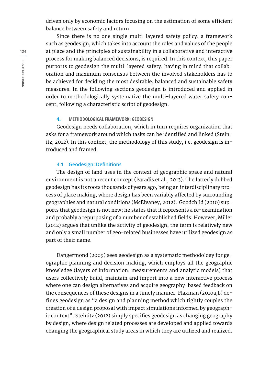driven only by economic factors focusing on the estimation of some efficient balance between safety and return.

Since there is no one single multi-layered safety policy, a framework such as geodesign, which takes into account the roles and values of the people at place and the principles of sustainability in a collaborative and interactive process for making balanced decisions, is required. In this context, this paper purports to geodesign the multi-layered safety, having in mind that collaboration and maximum consensus between the involved stakeholders has to be achieved for deciding the most desirable, balanced and sustainable safety measures. In the following sections geodesign is introduced and applied in order to methodologically systematize the multi-layered water safety concept, following a characteristic script of geodesign.

#### **4. METHODOLOGICAL FRAMEWORK: GEODESIGN**

Geodesign needs collaboration, which in turn requires organization that asks for a framework around which tasks can be identified and linked (Steinitz, 2012). In this context, the methodology of this study, i.e. geodesign is introduced and framed.

#### **4.1 Geodesign: Definitions**

The design of land uses in the context of geographic space and natural environment is not a recent concept (Paradis et al., 2013). The latterly dubbed geodesign has its roots thousands of years ago, being an interdisciplinary process of place making, where design has been variably affected by surrounding geographies and natural conditions (McElvaney, 2012). Goodchild (2010) supports that geodesign is not new; he states that it represents a re-examination and probably a repurposing of a number of established fields. However, Miller (2012) argues that unlike the activity of geodesign, the term is relatively new and only a small number of geo-related businesses have utilized geodesign as part of their name.

Dangermond (2009) sees geodesign as a systematic methodology for geographic planning and decision making, which employs all the geographic knowledge (layers of information, measurements and analytic models) that users collectively build, maintain and import into a new interactive process where one can design alternatives and acquire geography-based feedback on the consequences of these designs in a timely manner. Flaxman (2010a,b) defines geodesign as "a design and planning method which tightly couples the creation of a design proposal with impact simulations informed by geographic context". Steinitz (2012) simply specifies geodesign as changing geography by design, where design related processes are developed and applied towards changing the geographical study areas in which they are utilized and realized.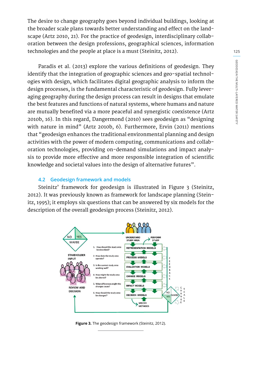The desire to change geography goes beyond individual buildings, looking at the broader scale plans towards better understanding and effect on the landscape (Artz 2010, 21). For the practice of geodesign, interdisciplinary collaboration between the design professions, geographical sciences, information technologies and the people at place is a must (Steinitz, 2012).

Paradis et al. (2013) explore the various definitions of geodesign. They identify that the integration of geographic sciences and geo-spatial technologies with design, which facilitates digital geographic analysis to inform the design processes, is the fundamental characteristic of geodesign. Fully leveraging geography during the design process can result in designs that emulate the best features and functions of natural systems, where humans and nature are mutually benefited via a more peaceful and synergistic coexistence (Artz 2010b, 16). In this regard, Dangermond (2010) sees geodesign as "designing with nature in mind" (Artz 2010b, 6). Furthermore, Ervin (2011) mentions that "geodesign enhances the traditional environmental planning and design activities with the power of modern computing, communications and collaboration technologies, providing on-demand simulations and impact analysis to provide more effective and more responsible integration of scientific knowledge and societal values into the design of alternative futures".

#### **4.2 Geodesign framework and models**

Steinitz' framework for geodesign is illustrated in Figure 3 (Steinitz, 2012). It was previously known as framework for landscape planning (Steinitz, 1995); it employs six questions that can be answered by six models for the description of the overall geodesign process (Steinitz, 2012).



**Figure 3.** The geodesign framework (Steinitz, 2012).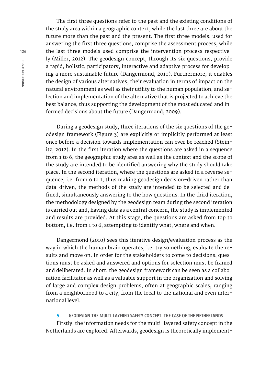The first three questions refer to the past and the existing conditions of the study area within a geographic context, while the last three are about the future more than the past and the present. The first three models, used for answering the first three questions, comprise the assessment process, while the last three models used comprise the intervention process respectively (Miller, 2012). The geodesign concept, through its six questions, provide a rapid, holistic, participatory, interactive and adaptive process for developing a more sustainable future (Dangermond, 2010). Furthermore, it enables the design of various alternatives, their evaluation in terms of impact on the natural environment as well as their utility to the human population, and selection and implementation of the alternative that is projected to achieve the best balance, thus supporting the development of the most educated and informed decisions about the future (Dangermond, 2009).

During a geodesign study, three iterations of the six questions of the geodesign framework (Figure 3) are explicitly or implicitly performed at least once before a decision towards implementation can ever be reached (Steinitz, 2012). In the first iteration where the questions are asked in a sequence from 1 to 6, the geographic study area as well as the context and the scope of the study are intended to be identified answering why the study should take place. In the second iteration, where the questions are asked in a reverse sequence, i.e. from 6 to 1, thus making geodesign decision-driven rather than data-driven, the methods of the study are intended to be selected and defined, simultaneously answering to the how questions. In the third iteration, the methodology designed by the geodesign team during the second iteration is carried out and, having data as a central concern, the study is implemented and results are provided. At this stage, the questions are asked from top to bottom, i.e. from 1 to 6, attempting to identify what, where and when.

Dangermond (2010) sees this iterative design/evaluation process as the way in which the human brain operates, i.e. try something, evaluate the results and move on. In order for the stakeholders to come to decisions, questions must be asked and answered and options for selection must be framed and deliberated. In short, the geodesign framework can be seen as a collaboration facilitator as well as a valuable support in the organization and solving of large and complex design problems, often at geographic scales, ranging from a neighborhood to a city, from the local to the national and even international level.

**5. GEODESIGN THE MULTI-LAYERED SAFETY CONCEPT: THE CASE OF THE NETHERLANDS**  Firstly, the information needs for the multi-layered safety concept in the Netherlands are explored. Afterwards, geodesign is theoretically implement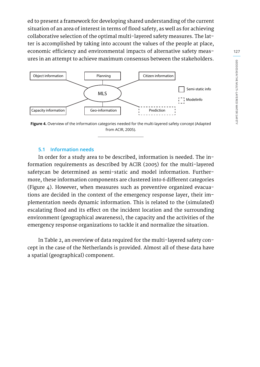ed to present a framework for developing shared understanding of the current situation of an area of interest in terms of flood safety, as well as for achieving collaborative selection of the optimal multi-layered safety measures. The latter is accomplished by taking into account the values of the people at place, economic efficiency and environmental impacts of alternative safety measures in an attempt to achieve maximum consensus between the stakeholders.



**Figure 4.** Overview of the information categories needed for the multi-layered safety concept (Adapted from ACIR, 2005).

#### **5.1 Information needs**

In order for a study area to be described, information is needed. The information requirements as described by ACIR (2005) for the multi-layered safetycan be determined as semi-static and model information. Furthermore, these information components are clustered into 6 different categories (Figure 4). However, when measures such as preventive organized evacuations are decided in the context of the emergency response layer, their implementation needs dynamic information. This is related to the (simulated) escalating flood and its effect on the incident location and the surrounding environment (geographical awareness), the capacity and the activities of the emergency response organizations to tackle it and normalize the situation.

In Table 2, an overview of data required for the multi-layered safety concept in the case of the Netherlands is provided. Almost all of these data have a spatial (geographical) component.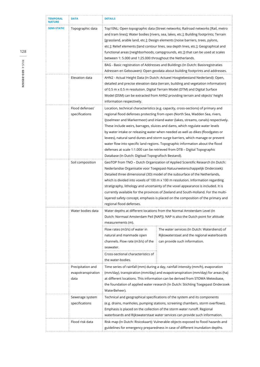| <b>TEMPORAL</b><br><b>NATURE</b> | <b>DATA</b>                                     | <b>DETAILS</b>                                                                                                                                                                                                                                                                                                                                                                                                                                                                                                                                                                                                                                                                                                                    |  |  |
|----------------------------------|-------------------------------------------------|-----------------------------------------------------------------------------------------------------------------------------------------------------------------------------------------------------------------------------------------------------------------------------------------------------------------------------------------------------------------------------------------------------------------------------------------------------------------------------------------------------------------------------------------------------------------------------------------------------------------------------------------------------------------------------------------------------------------------------------|--|--|
| <b>SEMI-STATIC</b>               | Topographic data                                | Top10NL: Open topographic data (Street networks; Railroad networks [Rail, metro<br>and tram lines]; Water bodies [rivers, sea, lakes, etc.]; Building footprints; Terrain<br>[grassland, arable land, etc.]; Design elements [noise barriers, trees, pylons,<br>etc.]; Relief elements [land contour lines, sea depth lines, etc.]; Geographical and<br>functional areas [neighborhoods, campgrounds, etc.]) that can be used at scales<br>between 1: 5.000 and 1:25.000 throughout the Netherlands.                                                                                                                                                                                                                              |  |  |
|                                  |                                                 | BAG - Basic registration of Addresses and Buildings (In Dutch: Basisregistraties<br>Adressen en Gebouwen): Open geodata about building footprints and addresses.                                                                                                                                                                                                                                                                                                                                                                                                                                                                                                                                                                  |  |  |
|                                  | Elevation data                                  | AHN2 - Actual Height Data (In Dutch: Actueel Hoogtebestand Nederland): Open,<br>detailed and precise elevation data (terrain, building and vegetation information)<br>of 0.5 m x 0.5 m resolution. Digital Terrain Model (DTM) and Digital Surface<br>Model (DSM) can be extracted from AHN2 providing terrain and objects' height<br>information respectively.                                                                                                                                                                                                                                                                                                                                                                   |  |  |
|                                  | Flood defenses'<br>specifications               | Location, technical characteristics (e.g. capacity, cross-sections) of primary and<br>regional flood defenses protecting from open (North Sea, Wadden Sea, rivers,<br>IJsselmeer and Markermeer) and inland water (lakes, streams, canals) respectively.<br>These include weirs, barrages, sluices and dams, which regulate water levels<br>by water intake or releasing water when needed as well as dikes (floodgates or<br>levees), natural sand dunes and storm surge barriers, which manage or prevent<br>water flow into specific land regions. Topographic information about the flood<br>defenses at scale 1:1.000 can be retrieved from DTB - Digital Topographic<br>Database (In Dutch: Digitaal Topografisch Bestand). |  |  |
|                                  | Soil composition                                | GeoTOP from TNO - Dutch Organization of Applied Scientific Research (In Dutch:<br>Nederlandse Organisatie voor Toegepast-Natuurwetenschappelijk Onderzoek):<br>Detailed three dimensional (3D) model of the subsurface of the Netherlands,<br>which is divided into voxels of 100 m x 100 m resolution. Information regarding<br>stratigraphy, lithology and uncertainty of the voxel appearance is included. It is<br>currently available for the provinces of Zeeland and South-Holland. For the multi-<br>layered safety concept, emphasis is placed on the composition of the primary and<br>regional flood defenses.                                                                                                         |  |  |
|                                  | Water bodies data                               | Water depths at different locations from the Normal Amsterdam Level (In<br>Dutch: Normaal Amsterdam Peil [NAP]). NAP is also the Dutch point for altitude<br>measurements (m).                                                                                                                                                                                                                                                                                                                                                                                                                                                                                                                                                    |  |  |
|                                  |                                                 | The water services (In Dutch: Waterdienst) of<br>Flow rates (m3/s) of water in<br>Rijkswaterstaat and the regional waterboards<br>natural and manmade open<br>channels. Flow rate (m3/s) of the<br>can provide such information.<br>seawater.<br>Cross-sectional characteristics of<br>the water-bodies.                                                                                                                                                                                                                                                                                                                                                                                                                          |  |  |
|                                  | Precipitation and<br>evapotranspiration<br>data | Time series of rainfall (mm) during a day, rainfall intensity (mm/h), evaporation<br>(mm/day), transpiration (mm/day) and evapotranspiration (mm/day) for areas (ha)<br>at different locations. This information can be derived from STOWA Meteobase,<br>the foundation of applied water research (In Dutch: Stichting Toegepast Onderzoek<br>WaterBeheer).                                                                                                                                                                                                                                                                                                                                                                       |  |  |
|                                  | Sewerage system<br>specifications               | Technical and geographical specifications of the system and its components<br>(e.g. drains, manholes, pumping stations, screening chambers, storm overflows).<br>Emphasis is placed on the collection of the storm water runoff. Regional<br>waterboards and Rijkswaterstaat water services can provide such information.                                                                                                                                                                                                                                                                                                                                                                                                         |  |  |
|                                  | Flood risk data                                 | Risk map (In Dutch: Risicokaart): Vulnerable objects exposed to flood hazards and<br>guidelines for emergency preparedness in case of different inundation depths.                                                                                                                                                                                                                                                                                                                                                                                                                                                                                                                                                                |  |  |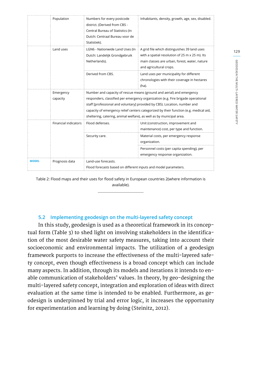|              | Population                  | Numbers for every postcode<br>district. (Derived from CBS -<br>Central Bureau of Statistics (In<br>Dutch: Centraal Bureau voor de<br>Statistiek).                                                                                                                                                                                                                                                       | Inhabitants, density, growth, age, sex, disabled.                                                                                                                          |
|--------------|-----------------------------|---------------------------------------------------------------------------------------------------------------------------------------------------------------------------------------------------------------------------------------------------------------------------------------------------------------------------------------------------------------------------------------------------------|----------------------------------------------------------------------------------------------------------------------------------------------------------------------------|
|              | Land uses                   | LGN6 - Nationwide Land Uses (In<br>Dutch: Landelijk Grondgebruik<br>Netherlands).                                                                                                                                                                                                                                                                                                                       | A grid file which distinguishes 39 land uses<br>with a spatial resolution of 25 m x 25 m). Its<br>main classes are urban, forest, water, nature<br>and agricultural crops. |
|              |                             | Derived from CBS.                                                                                                                                                                                                                                                                                                                                                                                       | Land uses per municipality for different<br>chronologies with their coverage in hectares<br>(ha).                                                                          |
|              | Emergency<br>capacity       | Number and capacity of rescue means (ground and aerial) and emergency<br>responders, classified per emergency organization (e.g. Fire brigade operational<br>staff [professional and voluntary] provided by CBS). Location, number and<br>capacity of emergency relief centers categorized by their function (e.g. medical aid,<br>sheltering, catering, animal welfare), as well as by municipal area. |                                                                                                                                                                            |
|              | <b>Financial indicators</b> | Flood defenses.                                                                                                                                                                                                                                                                                                                                                                                         | Unit (construction, improvement and<br>maintenance) cost, per type and function.                                                                                           |
|              |                             | Security care.                                                                                                                                                                                                                                                                                                                                                                                          | Material costs, per emergency response<br>organization.                                                                                                                    |
|              |                             |                                                                                                                                                                                                                                                                                                                                                                                                         | Personnel costs (per capita spending), per<br>emergency response organization.                                                                                             |
| <b>MODEL</b> | Prognosis data              | Land-use forecasts.<br>Flood forecasts based on different inputs and model parameters.                                                                                                                                                                                                                                                                                                                  |                                                                                                                                                                            |

Table 2: Flood maps and their uses for flood safety in European countries 2(where information is available).

#### **5.2 Implementing geodesign on the multi-layered safety concept**

In this study, geodesign is used as a theoretical framework in its conceptual form (Table 3) to shed light on involving stakeholders in the identification of the most desirable water safety measures, taking into account their socioeconomic and environmental impacts. The utilization of a geodesign framework purports to increase the effectiveness of the multi-layered safety concept, even though effectiveness is a broad concept which can include many aspects. In addition, through its models and iterations it intends to enable communication of stakeholders' values. In theory, by geo-designing the multi-layered safety concept, integration and exploration of ideas with direct evaluation at the same time is intended to be enabled. Furthermore, as geodesign is underpinned by trial and error logic, it increases the opportunity for experimentation and learning by doing (Steinitz, 2012).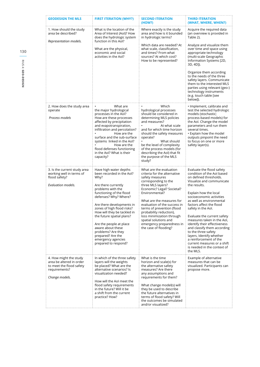| <b>GEODESIGN THE MLS</b>                                                                                          | <b>FIRST ITERATION (WHY?)</b>                                                                                                                                                                                                                                                                                                                                                                                                | <b>SECOND ITERATION</b><br>(HOW?)                                                                                                                                                                                                                                                                                                                                                                         | THIRD ITERATION<br>(WHAT, WHERE, WHEN?)                                                                                                                                                                                                                                                                                                                                                                                                                                                                                                              |
|-------------------------------------------------------------------------------------------------------------------|------------------------------------------------------------------------------------------------------------------------------------------------------------------------------------------------------------------------------------------------------------------------------------------------------------------------------------------------------------------------------------------------------------------------------|-----------------------------------------------------------------------------------------------------------------------------------------------------------------------------------------------------------------------------------------------------------------------------------------------------------------------------------------------------------------------------------------------------------|------------------------------------------------------------------------------------------------------------------------------------------------------------------------------------------------------------------------------------------------------------------------------------------------------------------------------------------------------------------------------------------------------------------------------------------------------------------------------------------------------------------------------------------------------|
| 1. How should the study<br>area be described?<br>Representation models.                                           | What is the location of the<br>Area of Interest (AoI)? How<br>does the hydrologic system<br>function in this Aol?<br>What are the physical,<br>economic and social<br>activities in the Aol?                                                                                                                                                                                                                                 | Where exactly is the study<br>area and how is it bounded<br>in hydrologic terms?<br>Which data are needed? At<br>what scale, classification,<br>and times? From what<br>sources? At which cost?<br>How to be represented?                                                                                                                                                                                 | Acquire the required data<br>(an overview is provided in<br>Table 2).<br>Analyze and visualize them<br>over time and space using<br>appropriate technology<br>(multi-scale Geographic<br>Information Systems [2D,<br>3D, 4D]).<br>Organize them according<br>to the needs of the three<br>safety layers. Communicate<br>them to the interested MLS<br>parties using relevant (geo-)<br>technology instruments<br>(e.g. touch table [see<br>below]).                                                                                                  |
| 2. How does the study area<br>operate<br>Process models                                                           | What are<br>the major hydrological<br>processes in the AoI?<br>How are these processes<br>affected by precipitation<br>and evapotranspiration,<br>infiltration and percolation?<br>How are the<br>surface and the sub-surface<br>systems linked in the AoI?<br>How are the<br>flood defenses functioning<br>in the AoI? What is their<br>capacity?                                                                           | Which<br>hydrological processes<br>should be considered in<br>determining MLS policies<br>and measures?<br>At what scale<br>and for which time horizon<br>should the safety measures<br>operate?<br>What should<br>be the level of complexity<br>of the process models (for<br>describing the AoI) that fit<br>the purpose of the MLS<br>study?                                                           | · Implement, calibrate and<br>test the selected hydrologic<br>models (stochastic;<br>process-based models) for<br>the AoI. Change the model<br>parameters and run them<br>several times.<br>· Explain how the model<br>outputs pinpoint the need<br>to focus on one or more<br>safety layer(s).                                                                                                                                                                                                                                                      |
| 3. Is the current study area<br>working well in terms of<br>flood safety?<br>Evaluation models.                   | Have high water depths<br>been recorded in the AoI?<br>Why?<br>Are there currently<br>problems with the<br>functioning of the flood<br>defenses? Why? Where?<br>Are there developments in<br>zones of high flood risks?<br>How will they be tackled in<br>the future spatial plans?<br>Are the people at place<br>aware about these<br>problems? Are they<br>prepared? Are the<br>emergency agencies<br>prepared to respond? | What are the evaluation<br>criteria for the alternative<br>safety measures<br>corresponding to the<br>three MLS layers?<br>Economic? Legal? Societal?<br>Environmental?<br>What are the measures for<br>evaluation of the success in<br>terms of prevention (flood<br>probability reduction),<br>loss minimization through<br>spatial solutions and<br>emergency preparedness in<br>the case of flooding? | Evaluate the flood safety<br>condition of the AoI based<br>on defined thresholds.<br>Visualize and communicate<br>the results.<br>Explain how the local<br>socioeconomic activities<br>as well as environmental<br>factors affect the flood<br>safety in the Aol.<br>Evaluate the current safety<br>measures taken in the AoI,<br>identify their effectiveness<br>and classify them according<br>to the three safety<br>layers. Identify whether<br>a reinforcement of the<br>current measures or a shift<br>is needed in the context of<br>the MLS. |
| 4. How might the study<br>area be altered in order<br>to meet the flood safety<br>requirements?<br>Change models. | In which of the three safety<br>layers will the weights<br>be placed? What are the<br>alternative scenarios? Is<br>visualization needed?<br>How will the AoI meet the<br>flood safety requirements<br>in the future? Will it be<br>a shift from the current<br>practice? How?                                                                                                                                                | What is the time<br>horizon and scale(s) for<br>the alternative safety<br>measures? Are there<br>any assumptions and<br>requirements for them?<br>What change model(s) will<br>they be used to describe<br>the future alternatives in<br>terms of flood safety? Will<br>the outcomes be simulated<br>and/or visualized?                                                                                   | Example of alternative<br>measures that can be<br>visualized. Participants can<br>propose more.                                                                                                                                                                                                                                                                                                                                                                                                                                                      |

**RIUS 4: GEO-DESIGN 130**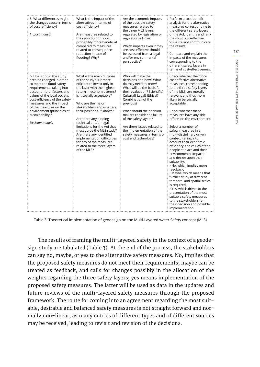| 5. What differences might<br>the changes cause in terms<br>of cost-efficiency?<br>Impact models.                                                                                                                                                                                                                                      | What is the impact of the<br>alternatives in terms of<br>cost-efficiency?<br>Are measures related to<br>the reduction of flood<br>probability more beneficial<br>compared to measures<br>related to consequences<br>reduction in case of<br>flooding? Why?                                                                                                                                                                                                                                                       | Are the economic impacts<br>of the possible safety<br>measures related to<br>the three MLS layers<br>regulated by legislation or<br>regulations? How?<br>Which impacts even if they<br>are cost-effective should<br>be assessed from a legal<br>and/or environmental<br>perspective?                                                                                                                       | Perform a cost-benefit<br>analysis for the alternative<br>measures corresponding to<br>the different safety layers<br>of the AoI. Identify and rank<br>the most cost-effective.<br>Visualize and communicate<br>the results.<br>Compare and explain the<br>impacts of the measures<br>corresponding to the<br>different safety layers in<br>terms of cost-effectiveness.                                                                                                                                                                                                                                                                                                                                                                                                                                                                                                      |
|---------------------------------------------------------------------------------------------------------------------------------------------------------------------------------------------------------------------------------------------------------------------------------------------------------------------------------------|------------------------------------------------------------------------------------------------------------------------------------------------------------------------------------------------------------------------------------------------------------------------------------------------------------------------------------------------------------------------------------------------------------------------------------------------------------------------------------------------------------------|------------------------------------------------------------------------------------------------------------------------------------------------------------------------------------------------------------------------------------------------------------------------------------------------------------------------------------------------------------------------------------------------------------|-------------------------------------------------------------------------------------------------------------------------------------------------------------------------------------------------------------------------------------------------------------------------------------------------------------------------------------------------------------------------------------------------------------------------------------------------------------------------------------------------------------------------------------------------------------------------------------------------------------------------------------------------------------------------------------------------------------------------------------------------------------------------------------------------------------------------------------------------------------------------------|
| 6. How should the study<br>area be changed in order<br>to meet the flood safety<br>requirements, taking into<br>account moral factors and<br>values of the local society,<br>cost-efficiency of the safety<br>measures and the impact<br>of the measures on the<br>environment (principles of<br>sustainability)?<br>Decision models. | What is the main purpose<br>of the study? Is it more<br>efficient to invest only in<br>the layer with the highest<br>return in economic terms?<br>Is it socially acceptable?<br>Who are the major<br>stakeholders and what are<br>their positions, if known?<br>Are there any binding<br>technical and/or legal<br>limitations for the Aol that<br>must guide the MLS study?<br>Are there any identified<br>implementation difficulties<br>for any of the measures<br>related to the three layers<br>of the MLS? | Who will make the<br>decisions and how? What<br>do they need to know?<br>What will be the basis for<br>their evaluation? Scientific?<br>Cultural? Legal? Ethical?<br>Combination of the<br>previous?<br>What should the decision<br>makers consider as failure<br>of the safety layers?<br>Are there issues related to<br>the implementation of the<br>safety measures in terms of<br>cost and technology? | Check whether the more<br>cost-effective alternative<br>measures, corresponding<br>to the three safety layers<br>of the MLS, are morally<br>relevant and thus more<br>likely to be socially<br>acceptable.<br>Check whether these<br>measures have any side<br>effects on the environment.<br>Select a number of<br>safety measures in a<br>multi-disciplinary driven<br>context, taking into<br>account their economic<br>efficiency, the values of the<br>people at place and their<br>environmental impacts<br>and decide upon their<br>suitability:<br>. No, which implies more<br>feedback:<br>. Maybe, which means that<br>further study at different<br>temporal and spatial scales<br>is required;<br>• Yes, which drives to the<br>presentation of the most<br>suitable safety measures<br>to the stakeholders for<br>their decision and possible<br>implementation. |

Table 3: Theoretical implementation of geodesign on the Multi-Layered water Safety concept (MLS).

The results of framing the multi-layered safety in the context of a geodesign study are tabulated (Table 3). At the end of the process, the stakeholders can say no, maybe, or yes to the alternative safety measures. No, implies that the proposed safety measures do not meet their requirements; maybe can be treated as feedback, and calls for changes possibly in the allocation of the weights regarding the three safety layers; yes means implementation of the proposed safety measures. The latter will be used as data in the updates and future reviews of the multi-layered safety measures through the proposed framework. The route for coming into an agreement regarding the most suitable, desirable and balanced safety measures is not straight forward and normally non-linear, as many entries of different types and of different sources may be received, leading to revisit and revision of the decisions.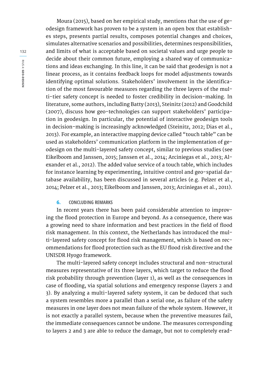Moura (2015), based on her empirical study, mentions that the use of geodesign framework has proven to be a system in an open box that establishes steps, presents partial results, composes potential changes and choices, simulates alternative scenarios and possibilities, determines responsibilities, and limits of what is acceptable based on societal values and urge people to decide about their common future, employing a shared way of communications and ideas exchanging. In this line, it can be said that geodesign is not a linear process, as it contains feedback loops for model adjustments towards identifying optimal solutions. Stakeholders' involvement in the identification of the most favourable measures regarding the three layers of the multi-tier safety concept is needed to foster credibility in decision-making. In literature, some authors, including Batty (2013), Steinitz (2012) and Goodchild (2007), discuss how geo-technologies can support stakeholders' participation in geodesign. In particular, the potential of interactive geodesign tools in decision-making is increasingly acknowledged (Steinitz, 2012; Dias et al., 2013). For example, an interactive mapping device called "touch table" can be used as stakeholders' communication platform in the implementation of geodesign on the multi-layered safety concept, similar to previous studies (see Eikelboom and Janssen, 2015; Janssen et al., 2014; Arciniegas et al., 2013; Alexander et al., 2012). The added value service of a touch table, which includes for instance learning by experimenting, intuitive control and geo-spatial database availability, has been discussed in several articles (e.g. Pelzer et al., 2014; Pelzer et al., 2013; Eikelboom and Janssen, 2013; Arciniegas et al., 2011).

#### **6. CONCLUDING REMARKS**

In recent years there has been paid considerable attention to improving the flood protection in Europe and beyond. As a consequence, there was a growing need to share information and best practices in the field of flood risk management. In this context, the Netherlands has introduced the multi-layered safety concept for flood risk management, which is based on recommendations for flood protection such as the EU flood risk directive and the UNISDR Hyogo framework.

The multi-layered safety concept includes structural and non-structural measures representative of its three layers, which target to reduce the flood risk probability through prevention (layer 1), as well as the consequences in case of flooding, via spatial solutions and emergency response (layers 2 and 3). By analyzing a multi-layered safety system, it can be deduced that such a system resembles more a parallel than a serial one, as failure of the safety measures in one layer does not mean failure of the whole system. However, it is not exactly a parallel system, because when the preventive measures fail, the immediate consequences cannot be undone. The measures corresponding to layers 2 and 3 are able to reduce the damage, but not to completely erad-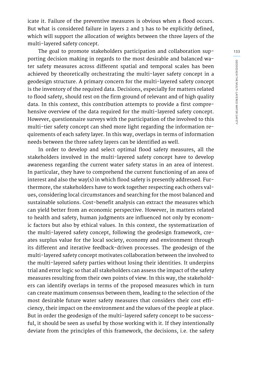**GEODESIGN THE MULTI-LAYERED WATER SAFETY**

icate it. Failure of the preventive measures is obvious when a flood occurs. But what is considered failure in layers 2 and 3 has to be explicitly defined, which will support the allocation of weights between the three layers of the multi-layered safety concept.

The goal to promote stakeholders participation and collaboration supporting decision making in regards to the most desirable and balanced water safety measures across different spatial and temporal scales has been achieved by theoretically orchestrating the multi-layer safety concept in a geodesign structure. A primary concern for the multi-layered safety concept is the inventory of the required data. Decisions, especially for matters related to flood safety, should rest on the firm ground of relevant and of high quality data. In this context, this contribution attempts to provide a first comprehensive overview of the data required for the multi-layered safety concept. However, questionnaire surveys with the participation of the involved to this multi-tier safety concept can shed more light regarding the information requirements of each safety layer. In this way, overlaps in terms of information needs between the three safety layers can be identified as well.

In order to develop and select optimal flood safety measures, all the stakeholders involved in the multi-layered safety concept have to develop awareness regarding the current water safety status in an area of interest. In particular, they have to comprehend the current functioning of an area of interest and also the way(s) in which flood safety is presently addressed. Furthermore, the stakeholders have to work together respecting each others values, considering local circumstances and searching for the most balanced and sustainable solutions. Cost-benefit analysis can extract the measures which can yield better from an economic perspective. However, in matters related to health and safety, human judgments are influenced not only by economic factors but also by ethical values. In this context, the systematization of the multi-layered safety concept, following the geodesign framework, creates surplus value for the local society, economy and environment through its different and iterative feedback-driven processes. The geodesign of the multi-layered safety concept motivates collaboration between the involved to the multi-layered safety parties without losing their identities. It underpins trial and error logic so that all stakeholders can assess the impact of the safety measures resulting from their own points of view. In this way, the stakeholders can identify overlaps in terms of the proposed measures which in turn can create maximum consensus between them, leading to the selection of the most desirable future water safety measures that considers their cost efficiency, their impact on the environment and the values of the people at place. But in order the geodesign of the multi-layered safety concept to be successful, it should be seen as useful by those working with it. If they intentionally deviate from the principles of this framework, the decisions, i.e. the safety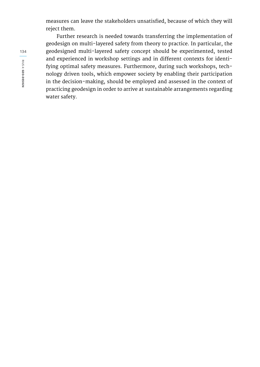measures can leave the stakeholders unsatisfied, because of which they will reject them.

Further research is needed towards transferring the implementation of geodesign on multi-layered safety from theory to practice. In particular, the geodesigned multi-layered safety concept should be experimented, tested and experienced in workshop settings and in different contexts for identifying optimal safety measures. Furthermore, during such workshops, technology driven tools, which empower society by enabling their participation in the decision-making, should be employed and assessed in the context of practicing geodesign in order to arrive at sustainable arrangements regarding water safety.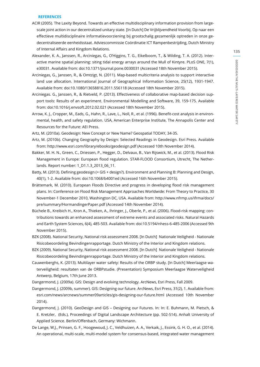# GEODESIGN THE MULTI-LAYERED WATER SAFETY **GEODESIGN THE MULTI-LAYERED WATER SAFETY**

**135**

#### **REFERENCES**

- ACIR (2005). The Laxity Beyond. Towards an effective multidisciplinary information provision from largescale joint action in our decentralized unitary state. [In Dutch] De Vrijblijvendheid Voorbij. Op naar een effectieve multidisciplinaire informatievoorziening bij grootschalig gezamenlijk optreden in onze gedecentraliseerde eenheidsstaat. Adviescommissie Coördinatie ICT Rampenbestrijding, Dutch Ministry of Internal Affairs and Kingdom Relations.
- Alexander, K. A., Janssen, R., Arciniegas, G., O'Higgins, T. G., Eikelboom, T., & Wilding, T. A. (2012). Interactive marine spatial planning: siting tidal energy arrays around the Mull of Kintyre. PLoS ONE, 7(1), e30031. Available from: doi:10.1371/journal.pone.0030031 (Accessed 18th November 2015).
- Arciniegas, G., Janssen, R., & Omtzigt, N. (2011). Map-based multicriteria analysis to support interactive land use allocation. International Journal of Geographical Information Science, 25(12), 1931-1947. Available from: doi:10.1080/13658816.2011.556118 (Accessed 18th November 2015).
- Arciniegas. G., Janssen, R., & Rietveld, P. (2013). Effectiveness of collaborative map-based decision support tools: Results of an experiment. Environmental Modelling and Software, 39, 159-175. Available from: doi:10.1016/j.envsoft.2012.02.021 (Accessed 18th November 2015).
- Arrow, K. J., Cropper, M., Eads, G., Hahn, R., Lave, L., Noll, R., et al. (1996). Benefit-cost analysis in environmental, health, and safety regulation. USA, American Enterprise Institute, The Annapolis Center and Resources for the Future: AEI Press.
- Artz, M. (2010a). Geodesign: New Concept or New Name? Geospatial TODAY, 34-35.
- Artz, M. (2010b). Changing Geography by Design: Selected Readings in Geodesign. Esri Press. Available from: http://www.esri.com/library/ebooks/geodesign.pdf (Accessed 10th November 2014).
- Bakker, M. H. N., Green, C., Driessen, P., Hegger, D., Delvaux, B., Van Rijswick, M., et al. (2013). Flood Risk Management in Europe: European flood regulation. STAR-FLOOD Consortium, Utrecht, The Netherlands. Report number: 1\_D1.1.3\_2013\_06\_11.
- Batty, M. (2013). Defining geodesign (= GIS + design?). Environment and Planning B: Planning and Design, 40(1), 1-2. Available from: doi:10.1068/b4001ed (Accessed 16th November 2015).
- Brättemark, M. (2010). European Floods Directive and progress in developing flood risk management plans. In: Conference on Flood Risk Management Approaches Worldwide: From Theory to Practice, 30 November-1 December 2010, Washington DC, USA. Available from: http://www.nfrmp.us/ifrma/docs/ pre/summary/HormandingerPaper.pdf (Accessed 14th November 2014).
- Büchele B., Kreibich H., Kron A., Thieken, A., Ihringer, J., Oberle, P., et al. (2006). Flood-risk mapping: contributions towards an enhanced assessment of extreme events and associated risks. Natural Hazards and Earth System Sciences, 6(4), 485-503. Available from: doi:10.5194/nhess-6-485-2006 (Accessed 9th November 2015).
- BZK (2008). National Security, National risk assessment 2008. [In Dutch] Nationale Veiligheid Nationale Risicobeoordeling Bevindingenrapportage. Dutch Ministry of the Interior and Kingdom relations.
- BZK (2009). National Security, National risk assessment 2008. [In Dutch] Nationale Veiligheid Nationale Risicobeoordeling Bevindingenrapportage. Dutch Ministry of the Interior and Kingdom relations.
- Cauwenberghs, K. (2013). Multilayer water safety: Results of the ORBP study. [In Dutch] Meerlaagse waterveiligheid: resultaten van de ORBPstudie. (Presentation) Symposium Meerlaagse Waterveiligheid Antwerp, Belgium, 17th June 2013.
- Dangermond, J. (2009a). GIS: Design and evolving technology. ArcNews, Esri Press, Fall 2009.
- Dangermond, J. (2009b, summer). GIS: Designing our future. ArcNews, Esri Press, 31(2), 1. Available from: esri.com/news/arcnews/summer09articles/gis-designing-our-future.html (Accessed 10th November 2014).
- Dangermond, J. (2010). GeoDesign and GIS Designing our Futures. In: In: E. Buhmann, M. Pietsch, & E. Kretzler, (Eds.), Proceedings of Digital Landscape Architecture (pp. 502-514). Anhalt University of Applied Science. Berlin/Offenbach, Germany: Wichmann.
- De Lange, W.J., Prinsen, G. F., Hoogewoud, J. C., Veldhuizen, A. A., Verkaik, J., Essink, G. H. O., et al. (2014). An operational, multi-scale, multi-model system for consensus-based, integrated water management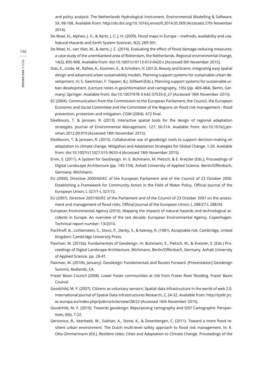and policy analysis: The Netherlands Hydrological Instrument. Environmental Modelling & Software, 59, 98-108. Available from: http://dx.doi.org/10.1016/j.envsoft.2014.05.009 (Accessed 27th November 2014).

- De Moel, H., Alphen, J. V., & Aerts, J. C. J. H. (2009). Flood maps in Europe methods, availability and use. Natural Hazards and Earth System Sciences, 9(2), 289-301.
- De Moel, H., van Vliet, M., & Aerts, J. C. (2014). Evaluating the effect of flood damage-reducing measures: a case study of the unembanked area of Rotterdam, the Netherlands. Regional environmental change, 14(3), 895-908. Available from: doi:10.1007/s10113-013-0420-z [Accessed 9th November 2015].
- Dias, E., Linde, M., Rafiee, A., Koomen, E., & Scholten, H. (2013). Beauty and brains: integrating easy spatial design and advanced urban sustainability models. Planning support systems for sustainable urban development. In: S. Geertman, F. Toppen, & J. Stillwell (Eds.), Planning support systems for sustainable urban development. (Lecture notes in geoinformation and cartography, 195) (pp. 469-484). Berlin, Germany: Springer. Available from: doi:10.1007/978-3-642-37533-0\_27 (Accessed 18th November 2015).
- EC (2004). Communication from the Commission to the European Parliament, the Council, the European Economic and Social Committee and the Committee of the Regions on flood risk management - flood prevention, protection and mitigation. COM (2004). 472 final.
- Eikelboom, T. & Janssen, R. (2013). Interactive spatial tools for the design of regional adaptation strategies. Journal of Environmental Management, 127, S6-S14. Available from: doi:10.1016/j.jenvman.2012.09.019 (Accessed 18th November 2015).
- Eikelboom, T. & Janssen, R. (2015). Collaborative use of geodesign tools to support decision-making on adaptation to climate change. Mitigation and Adaptation Strategies for Global Change, 1-20. Available from: doi:10.1007/s11027-015-9633-4 (Accessed 18th November 2015).
- Ervin, S. (2011). A System for GeoDesign. In: E. Buhmann, M. Pietsch, & E. Kretzler (Eds.), Proceedings of Digital Landscape Architecture (pp. 145-154). Anhalt University of Applied Science. Berlin/Offenbach, Germany: Wichmann.
- EU (2000). Directive 2000/60/EC of the European Parliament and of the Council of 23 October 2000. Establishing a Framework for Community Action in the Field of Water Policy. Official Journal of the European Union, L 327/1-L 327/72.
- EU (2007). Directive 2007/60/EC of the Parliament and of the Council of 23 October 2007 on the assessment and management of flood risks. Official Journal of the European Union, L 288/27-L 288/34.
- European Environmental Agency (2010). Mapping the impacts of natural hazards and technological accidents in Europe. An overview of the last decade. European Environmental Agency, Copenhagen. Technical report number: 13/2010.
- Fischhoff, B., Lichtenstein, S., SIovic, P., Derby, S., & Keeney, R. (1981). Acceptable risk. Cambridge, United Kingdom: Cambridge University Press.
- Flaxman, M. (2010a). Fundamentals of Geodesign. In: Buhmann, E., Pietsch, M., & Kretzler, E. (Eds.) Proceedings of Digital Landscape Architecture, Wichmann, Berlin/Offenbach, Germany. Anhalt University of Applied Science. pp. 28-41.
- Flaxman, M. (2010b, January). Geodesign: Fundamentals and Routes Forward. [Presentation] Geodesign Summit, Redlands, CA.
- Fraser Basin Council (2008). Lower fraser communities at risk from Fraser River flooding. Fraser Basin Council.
- Goodchild, M. F. (2007). Citizens as voluntary sensors: Spatial data infrastructure in the world of web 2.0. International Journal of Spatial Data Infrastructures Research, 2, 24-32. Available from: http://ijsdir.jrc. ec.europa.eu/index.php/ijsdir/article/view/28/22 (Accessed 16th November 2015).
- Goodchild, M. F. (2010). Towards geodesign: Repurposing cartography and GIS? Cartographic Perspectives, (66), 7-22.
- Gersonius, B., Veerbeek, W., Subhan, A., Stone, K., & Zevenbergen, C. (2011). Toward a more flood resilient urban environment: The Dutch multi-level safety approach to flood risk management. In: K. Otto-Zimmermann (Ed.), Resilient cities: Cities and Adaptation to Climate Change. Proceedings of the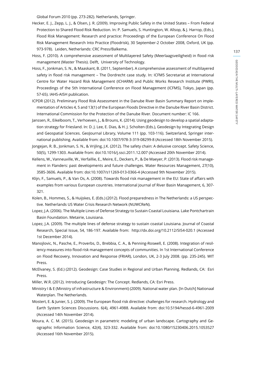Global Forum 2010 (pp. 273-282). Netherlands, Springer.

- Hecker, E. J., Zepp, L. J., & Olsen, J. R. (2009). Improving Public Safety in the United States From Federal Protection to Shared Flood Risk Reduction. In: P. Samuels, S. Huntington, W. Allsop, & J. Harrop, (Eds.), Flood Risk Management: Research and practice: Proceedings of the European Conference On Flood Risk Management Research Into Practice (Floodrisk), 30 September-2 October 2008, Oxford, UK (pp. 973-978). Leiden, Netherlands: CRC Press/Balkema.
- Hoss, F. (2010). A comprehensive assessment of Multilayered Safety (Meerlaagsveiligheid) in flood risk management (Master Thesis). Delft, University of Technology.
- Hoss, F., Jonkman, S. N., & Maaskant, B. (2011, September). A comprehensive assessment of multilayered safety in flood risk management – The Dordrecht case study. In: ICFM5 Secretariat at International Centre for Water Hazard Risk Management (ICHARM) and Public Works Research Institute (PWRI), Proceedings of the 5th International Conference on Flood Management (ICFMS), Tokyo, Japan (pp. 57-65). IAHS-AISH publication.
- ICPDR (2012). Preliminary Flood Risk Assessment in the Danube River Basin Summary Report on implementation of Articles 4, 5 and 13(1) of the European Floods Directive in the Danube River Basin District. International Commission for the Protection of the Danube River. Document number: IC 166.
- Janssen, R., Eikelboom, T., Verhoeven, J., & Brouns, K. (2014). Using geodesign to develop a spatial adaptation strategy for Friesland. In: D. J. Lee, E. Dias, & H. J. Scholten (Eds.), Geodesign by Integrating Design and Geospatial Sciences. GeoJournal Library, Volume 111 (pp. 103-116). Switzerland, Springer international publishing. Available from: doi:10.1007/978-3-319-08299-8 (Accessed 18th November 2015).
- Jongejan, R. B., Jonkman, S. N., & Vrijling, J.K. (2012). The safety chain: A delusive concept. Safety Science, 50(5), 1299-1303. Available from: doi:10.1016/j.ssci.2011.12.007 (Accessed 20th November 2014).
- Kellens, W., Vanneuville, W., Verfaillie, E., Meire, E., Deckers, P., & De Maeyer, P. (2013). Flood risk management in Flanders: past developments and future challenges. Water Resources Management, 27(10), 3585-3606. Available from: doi:10.1007/s11269-013-0366-4 (Accessed 9th November 2015).
- Klijn, F., Samuels, P., & Van Os, A. (2008). Towards flood risk management in the EU: State of affairs with examples from various European countries. International Journal of River Basin Management, 6, 307- 321.
- Kolen, B., Hommes, S., & Huijskes, E. (Eds.) (2012). Flood preparedness in The Netherlands: a US perspective. Netherlands US Water Crisis Research Network (NUWCReN).
- Lopez, J.A. (2006). The Multiple Lines of Defense Strategy to Sustain Coastal Louisiana. Lake Pontchartrain Basin Foundation. Metairie, Louisiana.
- Lopez, J.A. (2009). The multiple lines of defense strategy to sustain coastal Louisiana. Journal of Coastal Research, Special Issue, 54, 186-197. Available from: http://dx.doi.org/10.2112/SI54-020.1 (Accessed 1st December 2014).
- Manojlovic, N., Pasche, E., Proverbs, D., Brebbia, C. A., & Penning-Roswell, E. (2008). Integration of resiliency measures into flood risk management concepts of communities. In 1st International Conference on Flood Recovery, Innovation and Response (FRIAR), London, UK, 2-3 July 2008. (pp. 235-245). WIT Press.
- McElvaney, S. (Ed.) (2012). Geodesign: Case Studies in Regional and Urban Planning. Redlands, CA: Esri Press.
- Miller, W.R. (2012). Introducing Geodesign: The Concept. Redlands, CA: Esri Press.
- Ministry I & E (Ministry of infrastructure & Environment) (2009). National water plan. [In Dutch] Nationaal Waterplan. The Netherlands.
- Mostert, E. & Junier, S. J. (2009). The European flood risk directive: challenges for research. Hydrology and Earth System Sciences Discussions. 6(4), 4961-4988. Available from: doi:10.5194/hessd-6-4961-2009 (Accessed 14th November 2014).
- Moura, A. C. M. (2015). Geodesign in parametric modeling of urban landscape. Cartography and Geographic Information Science, 42(4), 323-332. Available from: doi:10.1080/15230406.2015.1053527 (Accessed 16th November 2015).